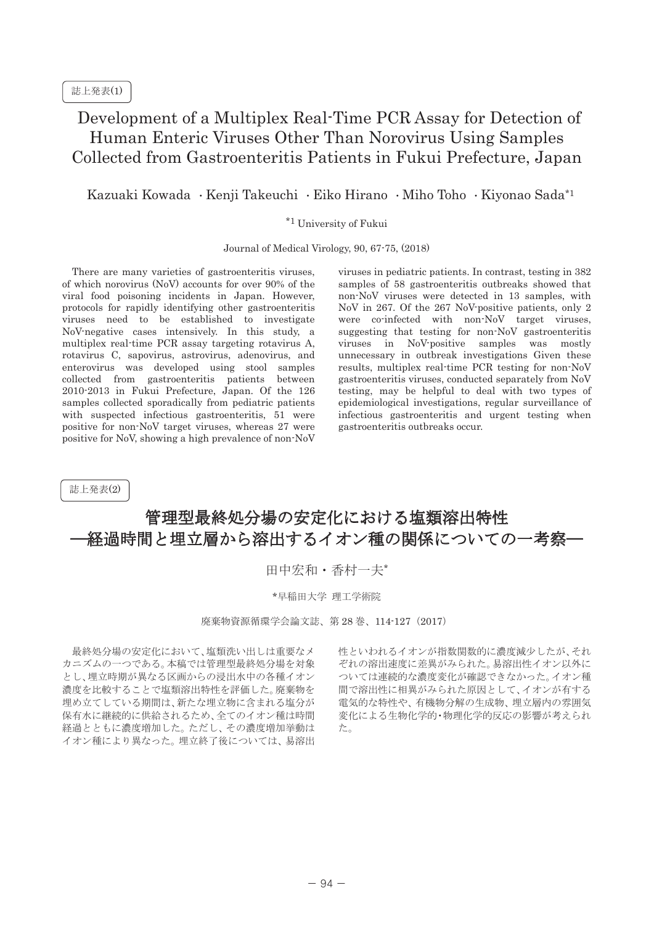## Development of a Multiplex Real-Time PCR Assay for Detection of Human Enteric Viruses Other Than Norovirus Using Samples Collected from Gastroenteritis Patients in Fukui Prefecture, Japan

Kazuaki Kowada · Kenji Takeuchi · Eiko Hirano · Miho Toho · Kiyonao Sada<sup>\*1</sup>

## \*1 University of Fukui

Journal of Medical Virology, 90, 67-75, (2018)

There are many varieties of gastroenteritis viruses, of which norovirus (NoV) accounts for over 90% of the viral food poisoning incidents in Japan. However, protocols for rapidly identifying other gastroenteritis viruses need to be established to investigate NoV-negative cases intensively. In this study, a multiplex real-time PCR assay targeting rotavirus A, rotavirus C, sapovirus, astrovirus, adenovirus, and enterovirus was developed using stool samples collected from gastroenteritis patients between 2010-2013 in Fukui Prefecture, Japan. Of the 126 samples collected sporadically from pediatric patients with suspected infectious gastroenteritis, 51 were positive for non-NoV target viruses, whereas 27 were positive for NoV, showing a high prevalence of non-NoV

viruses in pediatric patients. In contrast, testing in 382 samples of 58 gastroenteritis outbreaks showed that non-NoV viruses were detected in 13 samples, with NoV in 267. Of the 267 NoV-positive patients, only 2 were co-infected with non-NoV target viruses, suggesting that testing for non-NoV gastroenteritis viruses in NoV-positive samples was mostly unnecessary in outbreak investigations Given these results, multiplex real-time PCR testing for non-NoV gastroenteritis viruses, conducted separately from NoV testing, may be helpful to deal with two types of epidemiological investigations, regular surveillance of infectious gastroenteritis and urgent testing when gastroenteritis outbreaks occur.

誌上発表(2)

## 管理型最終処分場の安定化における塩類溶出特性 経過時間と埋立層から溶出するイオン種の関係についての一考察–

田中宏和 · 香村一夫\*

\*早稲田大学 理工学術院

廃棄物資源循環学会論文誌、第28巻、114-127 (2017)

最終処分場の安定化において、塩類洗い出しは重要なメ カニズムの一つである。本稿では管理型最終処分場を対象 とし、埋立時期が異なる区画からの浸出水中の各種イオン 濃度を比較することで塩類溶出特性を評価した。廃棄物を 埋め立てしている期間は、新たな埋立物に含まれる塩分が 保有水に継続的に供給されるため、全てのイオン種は時間 経過とともに濃度増加した。ただし、その濃度増加挙動は イオン種により異なった。埋立終了後については、易溶出 性といわれるイオンが指数関数的に濃度減少したが、それ ぞれの溶出速度に差異がみられた。易溶出性イオン以外に ついては連続的な濃度変化が確認できなかった。イオン種 間で溶出性に相異がみられた原因として、イオンが有する 電気的な特性や、有機物分解の生成物、埋立層内の雰囲気 変化による生物化学的・物理化学的反応の影響が考えられ ࠋࡓ